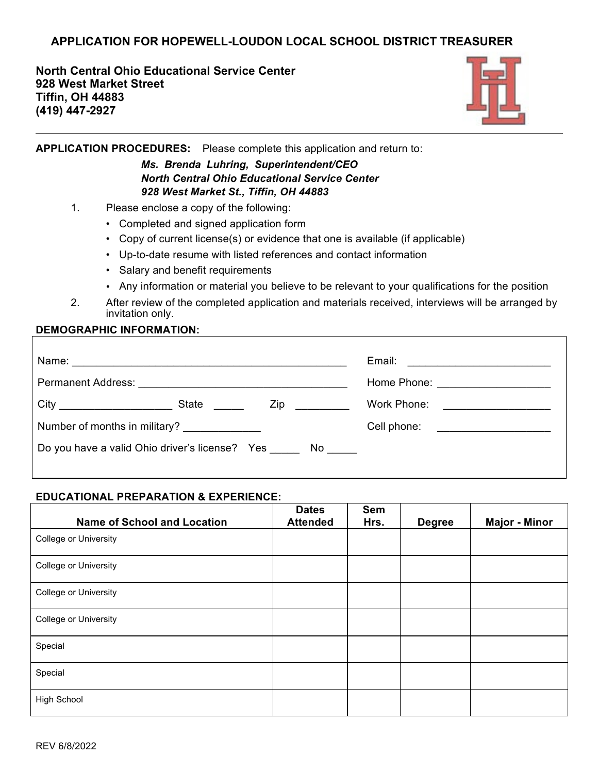# **APPLICATION FOR HOPEWELL-LOUDON LOCAL SCHOOL DISTRICT TREASURER**

**North Central Ohio Educational Service Center 928 West Market Street Tiffin, OH 44883 (419) 447-2927**



**APPLICATION PROCEDURES:** Please complete this application and return to:

### *Ms. Brenda Luhring, Superintendent/CEO North Central Ohio Educational Service Center 928 West Market St., Tiffin, OH 44883*

- 1. Please enclose a copy of the following:
	- Completed and signed application form
	- Copy of current license(s) or evidence that one is available (if applicable)
	- Up-to-date resume with listed references and contact information
	- Salary and benefit requirements
	- Any information or material you believe to be relevant to your qualifications for the position
- 2. After review of the completed application and materials received, interviews will be arranged by invitation only.

#### **DEMOGRAPHIC INFORMATION:**

|                                                                  |  |                                                                                                               | Home Phone: <u>_____________________________</u> |                                                  |  |
|------------------------------------------------------------------|--|---------------------------------------------------------------------------------------------------------------|--------------------------------------------------|--------------------------------------------------|--|
|                                                                  |  | Zip and the second second second second second second second second second second second second second second |                                                  | Work Phone: <u>_____________________________</u> |  |
| Number of months in military? _______________                    |  |                                                                                                               |                                                  | Cell phone: <u>__________________</u>            |  |
| Do you have a valid Ohio driver's license? Yes _______ No ______ |  |                                                                                                               |                                                  |                                                  |  |

#### **EDUCATIONAL PREPARATION & EXPERIENCE:**

| <b>Name of School and Location</b> | <b>Dates</b><br><b>Attended</b> | Sem<br>Hrs. | <b>Degree</b> | <b>Major - Minor</b> |
|------------------------------------|---------------------------------|-------------|---------------|----------------------|
| College or University              |                                 |             |               |                      |
| College or University              |                                 |             |               |                      |
| College or University              |                                 |             |               |                      |
| College or University              |                                 |             |               |                      |
| Special                            |                                 |             |               |                      |
| Special                            |                                 |             |               |                      |
| <b>High School</b>                 |                                 |             |               |                      |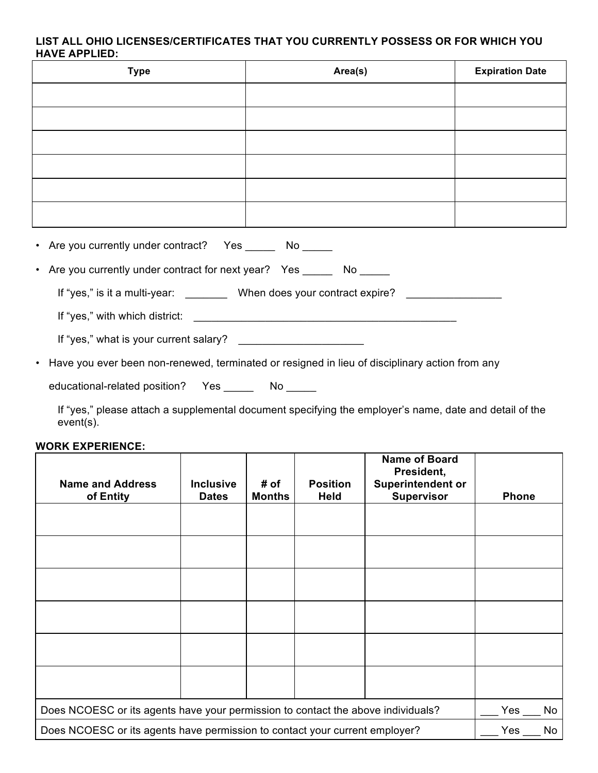### **LIST ALL OHIO LICENSES/CERTIFICATES THAT YOU CURRENTLY POSSESS OR FOR WHICH YOU HAVE APPLIED:**

| <b>Type</b>                                                                                                    | Area(s) | <b>Expiration Date</b> |  |  |  |
|----------------------------------------------------------------------------------------------------------------|---------|------------------------|--|--|--|
|                                                                                                                |         |                        |  |  |  |
|                                                                                                                |         |                        |  |  |  |
|                                                                                                                |         |                        |  |  |  |
|                                                                                                                |         |                        |  |  |  |
|                                                                                                                |         |                        |  |  |  |
|                                                                                                                |         |                        |  |  |  |
| • Are you currently under contract? Yes _______ No _____                                                       |         |                        |  |  |  |
| • Are you currently under contract for next year? Yes _______ No _____                                         |         |                        |  |  |  |
| If "yes," is it a multi-year: __________ When does your contract expire? ______________                        |         |                        |  |  |  |
|                                                                                                                |         |                        |  |  |  |
|                                                                                                                |         |                        |  |  |  |
| • Have you ever been non-renewed, terminated or resigned in lieu of disciplinary action from any               |         |                        |  |  |  |
| educational-related position?  Yes _______  No _____                                                           |         |                        |  |  |  |
| - Contract Andrea Andrea Andrea Andrea Andrea Andrea Andrea Andrea Andrea Andrea Andrea Andrea Andrea Andrea A |         |                        |  |  |  |

If "yes," please attach a supplemental document specifying the employer's name, date and detail of the event(s).

#### **WORK EXPERIENCE:**

| <b>Name and Address</b><br>of Entity                                             | <b>Inclusive</b><br><b>Dates</b> | # of<br><b>Months</b> | <b>Position</b><br><b>Held</b> | <b>Name of Board</b><br>President,<br><b>Superintendent or</b><br><b>Supervisor</b> | <b>Phone</b> |    |
|----------------------------------------------------------------------------------|----------------------------------|-----------------------|--------------------------------|-------------------------------------------------------------------------------------|--------------|----|
|                                                                                  |                                  |                       |                                |                                                                                     |              |    |
|                                                                                  |                                  |                       |                                |                                                                                     |              |    |
|                                                                                  |                                  |                       |                                |                                                                                     |              |    |
|                                                                                  |                                  |                       |                                |                                                                                     |              |    |
|                                                                                  |                                  |                       |                                |                                                                                     |              |    |
|                                                                                  |                                  |                       |                                |                                                                                     |              |    |
| Does NCOESC or its agents have your permission to contact the above individuals? |                                  |                       |                                |                                                                                     | Yes          | No |
| Does NCOESC or its agents have permission to contact your current employer?      |                                  |                       |                                |                                                                                     | Yes          | No |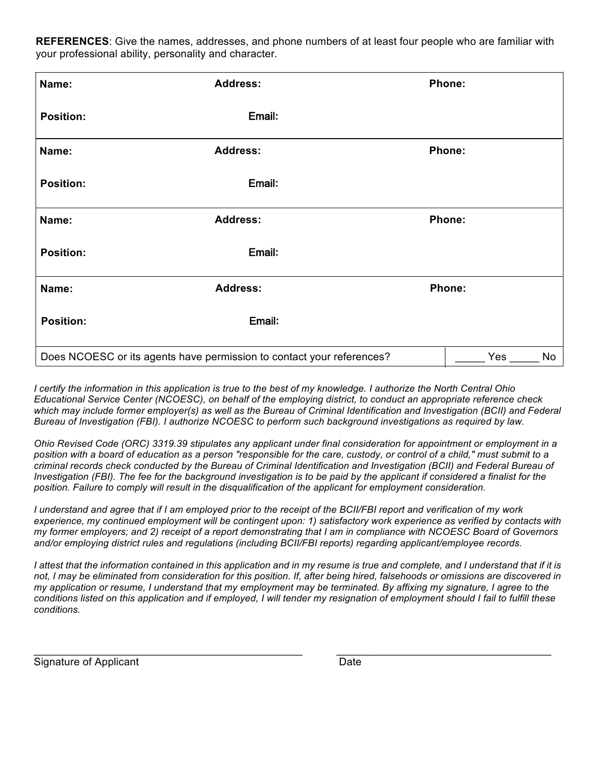**REFERENCES**: Give the names, addresses, and phone numbers of at least four people who are familiar with your professional ability, personality and character.

| Name:                                                                        | <b>Address:</b> |  | Phone: |    |
|------------------------------------------------------------------------------|-----------------|--|--------|----|
| <b>Position:</b>                                                             | Email:          |  |        |    |
| Name:                                                                        | <b>Address:</b> |  | Phone: |    |
| <b>Position:</b>                                                             | Email:          |  |        |    |
| Name:                                                                        | <b>Address:</b> |  | Phone: |    |
| <b>Position:</b>                                                             | Email:          |  |        |    |
| Name:                                                                        | <b>Address:</b> |  | Phone: |    |
| <b>Position:</b>                                                             | Email:          |  |        |    |
| Does NCOESC or its agents have permission to contact your references?<br>Yes |                 |  |        | No |

*I certify the information in this application is true to the best of my knowledge. I authorize the North Central Ohio Educational Service Center (NCOESC), on behalf of the employing district, to conduct an appropriate reference check*  which may include former employer(s) as well as the Bureau of Criminal Identification and Investigation (BCII) and Federal *Bureau of Investigation (FBI). I authorize NCOESC to perform such background investigations as required by law.* 

*Ohio Revised Code (ORC) 3319.39 stipulates any applicant under final consideration for appointment or employment in a position with a board of education as a person "responsible for the care, custody, or control of a child," must submit to a criminal records check conducted by the Bureau of Criminal Identification and Investigation (BCII) and Federal Bureau of Investigation (FBI). The fee for the background investigation is to be paid by the applicant if considered a finalist for the position. Failure to comply will result in the disqualification of the applicant for employment consideration.*

*I understand and agree that if I am employed prior to the receipt of the BCII/FBI report and verification of my work experience, my continued employment will be contingent upon: 1) satisfactory work experience as verified by contacts with my former employers; and 2) receipt of a report demonstrating that I am in compliance with NCOESC Board of Governors*  and/or employing district rules and regulations (including BCII/FBI reports) regarding applicant/employee records.

*I attest that the information contained in this application and in my resume is true and complete, and I understand that if it is not, I may be eliminated from consideration for this position. If, after being hired, falsehoods or omissions are discovered in my application or resume, I understand that my employment may be terminated. By affixing my signature, I agree to the conditions listed on this application and if employed, I will tender my resignation of employment should I fail to fulfill these conditions.*

\_\_\_\_\_\_\_\_\_\_\_\_\_\_\_\_\_\_\_\_\_\_\_\_\_\_\_\_\_\_\_\_\_\_\_\_\_\_\_\_\_\_\_\_\_ \_\_\_\_\_\_\_\_\_\_\_\_\_\_\_\_\_\_\_\_\_\_\_\_\_\_\_\_\_\_\_\_\_\_\_\_ Signature of Applicant Date Date Date